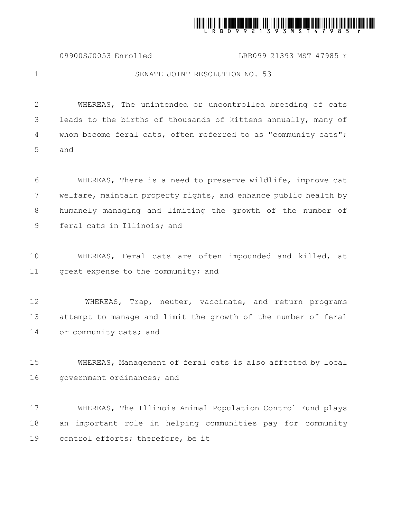

09900SJ0053 Enrolled LRB099 21393 MST 47985 r

1

## SENATE JOINT RESOLUTION NO. 53

WHEREAS, The unintended or uncontrolled breeding of cats leads to the births of thousands of kittens annually, many of whom become feral cats, often referred to as "community cats"; and 2 3 4 5

WHEREAS, There is a need to preserve wildlife, improve cat welfare, maintain property rights, and enhance public health by humanely managing and limiting the growth of the number of feral cats in Illinois; and 6 7 8 9

WHEREAS, Feral cats are often impounded and killed, at great expense to the community; and 10 11

WHEREAS, Trap, neuter, vaccinate, and return programs attempt to manage and limit the growth of the number of feral or community cats; and 12 13 14

WHEREAS, Management of feral cats is also affected by local government ordinances; and 15 16

WHEREAS, The Illinois Animal Population Control Fund plays an important role in helping communities pay for community control efforts; therefore, be it 17 18 19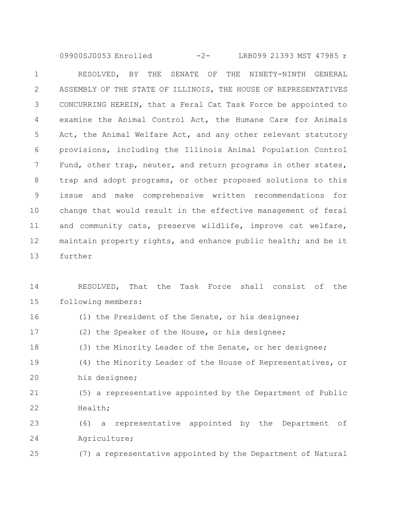RESOLVED, BY THE SENATE OF THE NINETY-NINTH GENERAL ASSEMBLY OF THE STATE OF ILLINOIS, THE HOUSE OF REPRESENTATIVES CONCURRING HEREIN, that a Feral Cat Task Force be appointed to examine the Animal Control Act, the Humane Care for Animals Act, the Animal Welfare Act, and any other relevant statutory provisions, including the Illinois Animal Population Control Fund, other trap, neuter, and return programs in other states, trap and adopt programs, or other proposed solutions to this issue and make comprehensive written recommendations for change that would result in the effective management of feral and community cats, preserve wildlife, improve cat welfare, maintain property rights, and enhance public health; and be it further 1 2 3 4 5 6 7 8 9 10 11 12 13 09900SJ0053 Enrolled -2- LRB099 21393 MST 47985 r

RESOLVED, That the Task Force shall consist of the following members: 14 15

(1) the President of the Senate, or his designee; (2) the Speaker of the House, or his designee; (3) the Minority Leader of the Senate, or her designee; (4) the Minority Leader of the House of Representatives, or his designee; (5) a representative appointed by the Department of Public Health; (6) a representative appointed by the Department of Agriculture; 16 17 18 19 20 21 22 23 24

(7) a representative appointed by the Department of Natural 25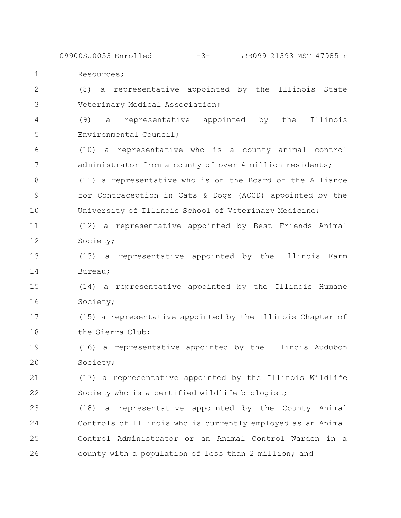Resources; 09900SJ0053 Enrolled -3- LRB099 21393 MST 47985 r

(8) a representative appointed by the Illinois State Veterinary Medical Association; 2 3

1

(9) a representative appointed by the Illinois Environmental Council; 4 5

(10) a representative who is a county animal control administrator from a county of over 4 million residents; (11) a representative who is on the Board of the Alliance for Contraception in Cats & Dogs (ACCD) appointed by the University of Illinois School of Veterinary Medicine; 6 7 8 9 10

(12) a representative appointed by Best Friends Animal Society; 11 12

(13) a representative appointed by the Illinois Farm Bureau; 13 14

(14) a representative appointed by the Illinois Humane Society; 15 16

(15) a representative appointed by the Illinois Chapter of the Sierra Club; 17 18

(16) a representative appointed by the Illinois Audubon Society; 19 20

(17) a representative appointed by the Illinois Wildlife Society who is a certified wildlife biologist; 21 22

(18) a representative appointed by the County Animal Controls of Illinois who is currently employed as an Animal Control Administrator or an Animal Control Warden in a county with a population of less than 2 million; and 23 24 25 26